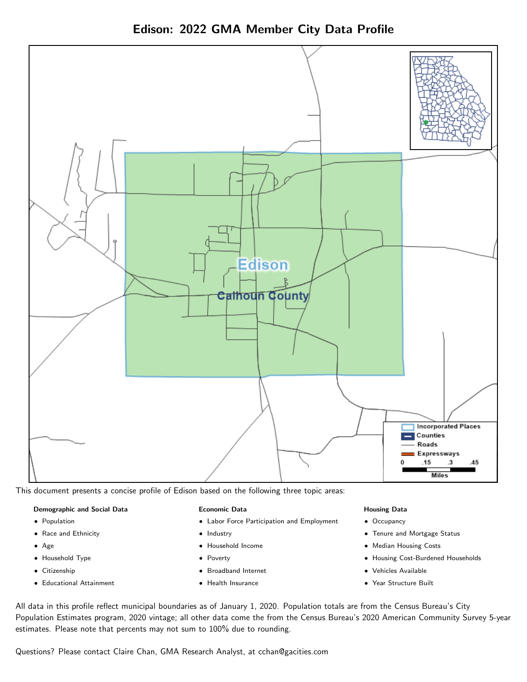

Edison: 2022 GMA Member City Data Profile

This document presents a concise profile of Edison based on the following three topic areas:

#### Demographic and Social Data

- **•** Population
- Race and Ethnicity
- Age
- Household Type
- **Citizenship**
- Educational Attainment

#### Economic Data

- Labor Force Participation and Employment
- Industry
- Household Income
- Poverty
- Broadband Internet
- Health Insurance

#### Housing Data

- Occupancy
- Tenure and Mortgage Status
- Median Housing Costs
- Housing Cost-Burdened Households
- Vehicles Available
- Year Structure Built

All data in this profile reflect municipal boundaries as of January 1, 2020. Population totals are from the Census Bureau's City Population Estimates program, 2020 vintage; all other data come the from the Census Bureau's 2020 American Community Survey 5-year estimates. Please note that percents may not sum to 100% due to rounding.

Questions? Please contact Claire Chan, GMA Research Analyst, at [cchan@gacities.com.](mailto:cchan@gacities.com)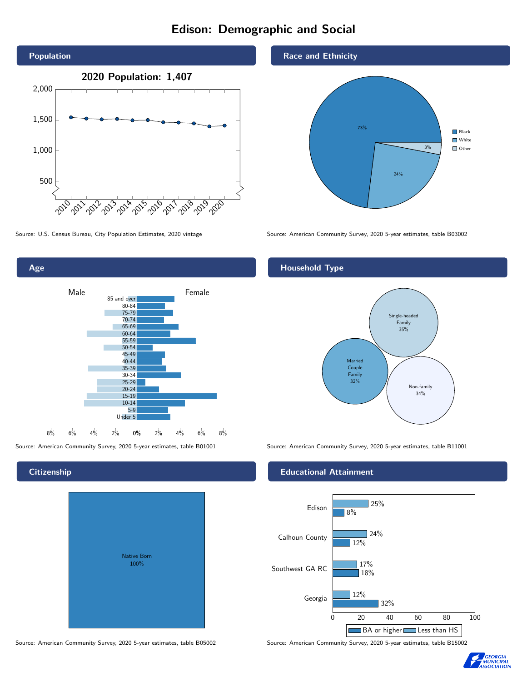# Edison: Demographic and Social



Age

**Citizenship** 

0% 2% 4% 6% 8% Male <u>Januar Female</u> 8% 6% 4% 2% 85 and over 80-84 75-79 70-74 65-69 60-64 55-59 50-54 45-49 40-44 35-39 30-34 25-29 20-24 15-19  $10-14$ 5-9 Under 5

Native Born 100%

#### Race and Ethnicity



Source: U.S. Census Bureau, City Population Estimates, 2020 vintage Source: American Community Survey, 2020 5-year estimates, table B03002

#### Household Type



Source: American Community Survey, 2020 5-year estimates, table B01001 Source: American Community Survey, 2020 5-year estimates, table B11001

#### Educational Attainment



Source: American Community Survey, 2020 5-year estimates, table B05002 Source: American Community Survey, 2020 5-year estimates, table B15002

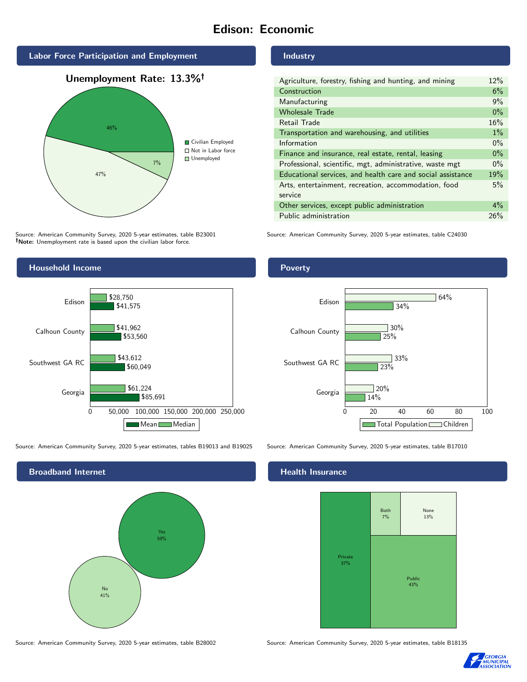# Edison: Economic





Source: American Community Survey, 2020 5-year estimates, table B23001 Note: Unemployment rate is based upon the civilian labor force.

#### Industry

| Agriculture, forestry, fishing and hunting, and mining      | 12%   |
|-------------------------------------------------------------|-------|
| Construction                                                | 6%    |
| Manufacturing                                               | 9%    |
| <b>Wholesale Trade</b>                                      | $0\%$ |
| Retail Trade                                                | 16%   |
| Transportation and warehousing, and utilities               | $1\%$ |
| Information                                                 | $0\%$ |
| Finance and insurance, real estate, rental, leasing         | $0\%$ |
| Professional, scientific, mgt, administrative, waste mgt    | $0\%$ |
| Educational services, and health care and social assistance | 19%   |
| Arts, entertainment, recreation, accommodation, food        | 5%    |
| service                                                     |       |
| Other services, except public administration                | $4\%$ |
| Public administration                                       | 26%   |

Source: American Community Survey, 2020 5-year estimates, table C24030



Source: American Community Survey, 2020 5-year estimates, tables B19013 and B19025 Source: American Community Survey, 2020 5-year estimates, table B17010



Poverty



#### **Health Insurance**



Source: American Community Survey, 2020 5-year estimates, table B28002 Source: American Community Survey, 2020 5-year estimates, table B18135